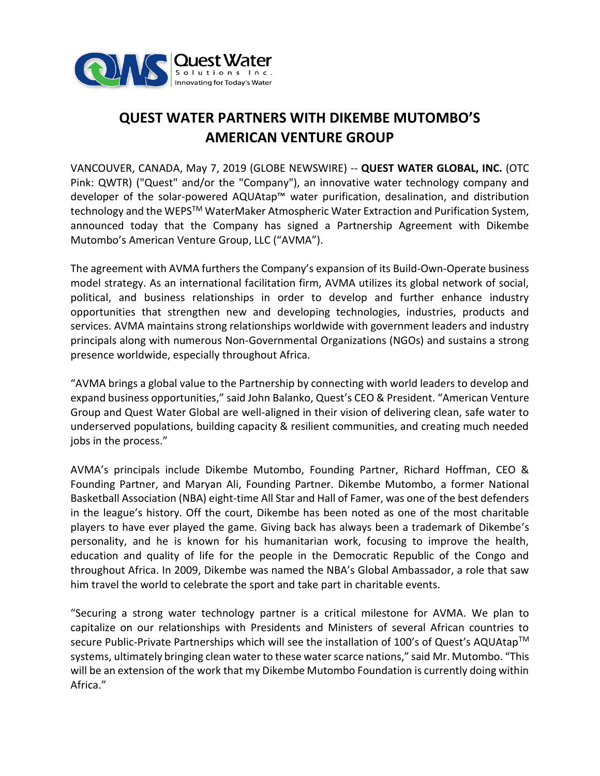

## **QUEST WATER PARTNERS WITH DIKEMBE MUTOMBO'S AMERICAN VENTURE GROUP**

VANCOUVER, CANADA, May 7, 2019 (GLOBE NEWSWIRE) -- **QUEST WATER GLOBAL, INC.** (OTC Pink: QWTR) ("Quest" and/or the "Company"), an innovative water technology company and developer of the solar-powered AQUAtap™ water purification, desalination, and distribution technology and the WEPS™ WaterMaker Atmospheric Water Extraction and Purification System, announced today that the Company has signed a Partnership Agreement with Dikembe Mutombo's American Venture Group, LLC ("AVMA").

The agreement with AVMA furthers the Company's expansion of its Build-Own-Operate business model strategy. As an international facilitation firm, AVMA utilizes its global network of social, political, and business relationships in order to develop and further enhance industry opportunities that strengthen new and developing technologies, industries, products and services. AVMA maintains strong relationships worldwide with government leaders and industry principals along with numerous Non-Governmental Organizations (NGOs) and sustains a strong presence worldwide, especially throughout Africa.

"AVMA brings a global value to the Partnership by connecting with world leaders to develop and expand business opportunities," said John Balanko, Quest's CEO & President. "American Venture Group and Quest Water Global are well-aligned in their vision of delivering clean, safe water to underserved populations, building capacity & resilient communities, and creating much needed jobs in the process."

AVMA's principals include Dikembe Mutombo, Founding Partner, Richard Hoffman, CEO & Founding Partner, and Maryan Ali, Founding Partner. Dikembe Mutombo, a former National Basketball Association (NBA) eight-time All Star and Hall of Famer, was one of the best defenders in the league's history. Off the court, Dikembe has been noted as one of the most charitable players to have ever played the game. Giving back has always been a trademark of Dikembe's personality, and he is known for his humanitarian work, focusing to improve the health, education and quality of life for the people in the Democratic Republic of the Congo and throughout Africa. In 2009, Dikembe was named the NBA's Global Ambassador, a role that saw him travel the world to celebrate the sport and take part in charitable events.

"Securing a strong water technology partner is a critical milestone for AVMA. We plan to capitalize on our relationships with Presidents and Ministers of several African countries to secure Public-Private Partnerships which will see the installation of 100's of Quest's AQUAtap™ systems, ultimately bringing clean water to these water scarce nations," said Mr. Mutombo. "This will be an extension of the work that my Dikembe Mutombo Foundation is currently doing within Africa."